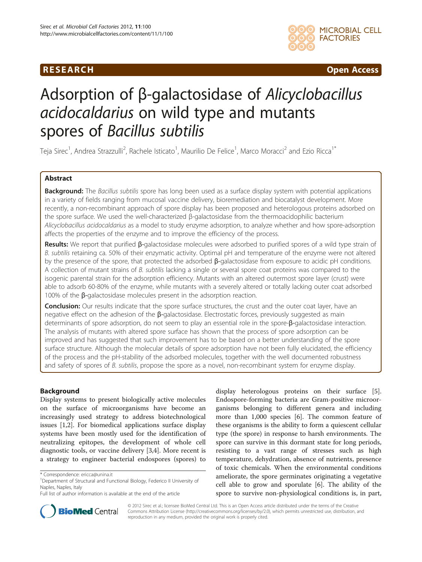# **RESEARCH RESEARCH** *CHECKER CHECKER CHECKER CHECKER CHECKER CHECKER CHECKER CHECKER CHECKER CHECKER CHECKER*



# Adsorption of β-galactosidase of Alicyclobacillus acidocaldarius on wild type and mutants spores of Bacillus subtilis

Teja Sirec<sup>1</sup>, Andrea Strazzulli<sup>2</sup>, Rachele Isticato<sup>1</sup>, Maurilio De Felice<sup>1</sup>, Marco Moracci<sup>2</sup> and Ezio Ricca<sup>1\*</sup>

# Abstract

Background: The Bacillus subtilis spore has long been used as a surface display system with potential applications in a variety of fields ranging from mucosal vaccine delivery, bioremediation and biocatalyst development. More recently, a non-recombinant approach of spore display has been proposed and heterologous proteins adsorbed on the spore surface. We used the well-characterized β-galactosidase from the thermoacidophilic bacterium Alicyclobacillus acidocaldarius as a model to study enzyme adsorption, to analyze whether and how spore-adsorption affects the properties of the enzyme and to improve the efficiency of the process.

Results: We report that purified β-galactosidase molecules were adsorbed to purified spores of a wild type strain of B. subtilis retaining ca. 50% of their enzymatic activity. Optimal pH and temperature of the enzyme were not altered by the presence of the spore, that protected the adsorbed  $\beta$ -galactosidase from exposure to acidic pH conditions. A collection of mutant strains of B. subtilis lacking a single or several spore coat proteins was compared to the isogenic parental strain for the adsorption efficiency. Mutants with an altered outermost spore layer (crust) were able to adsorb 60-80% of the enzyme, while mutants with a severely altered or totally lacking outer coat adsorbed 100% of the β-galactosidase molecules present in the adsorption reaction.

Conclusion: Our results indicate that the spore surface structures, the crust and the outer coat layer, have an negative effect on the adhesion of the **β**-galactosidase. Electrostatic forces, previously suggested as main determinants of spore adsorption, do not seem to play an essential role in the spore-β-galactosidase interaction. The analysis of mutants with altered spore surface has shown that the process of spore adsorption can be improved and has suggested that such improvement has to be based on a better understanding of the spore surface structure. Although the molecular details of spore adsorption have not been fully elucidated, the efficiency of the process and the pH-stability of the adsorbed molecules, together with the well documented robustness and safety of spores of B. subtilis, propose the spore as a novel, non-recombinant system for enzyme display.

## Background

Display systems to present biologically active molecules on the surface of microorganisms have become an increasingly used strategy to address biotechnological issues [[1,2\]](#page-9-0). For biomedical applications surface display systems have been mostly used for the identification of neutralizing epitopes, the development of whole cell diagnostic tools, or vaccine delivery [[3,4\]](#page-9-0). More recent is a strategy to engineer bacterial endospores (spores) to

display heterologous proteins on their surface [\[5](#page-9-0)]. Endospore-forming bacteria are Gram-positive microorganisms belonging to different genera and including more than 1,000 species [[6\]](#page-9-0). The common feature of these organisms is the ability to form a quiescent cellular type (the spore) in response to harsh environments. The spore can survive in this dormant state for long periods, resisting to a vast range of stresses such as high temperature, dehydration, absence of nutrients, presence of toxic chemicals. When the environmental conditions ameliorate, the spore germinates originating a vegetative cell able to grow and sporulate [[6\]](#page-9-0). The ability of the spore to survive non-physiological conditions is, in part,



© 2012 Sirec et al.; licensee BioMed Central Ltd. This is an Open Access article distributed under the terms of the Creative Commons Attribution License [\(http://creativecommons.org/licenses/by/2.0\)](http://creativecommons.org/licenses/by/2.0), which permits unrestricted use, distribution, and reproduction in any medium, provided the original work is properly cited.

<sup>\*</sup> Correspondence: [ericca@unina.it](mailto:ericca@unina.it) <sup>1</sup>

<sup>&</sup>lt;sup>1</sup>Department of Structural and Functional Biology, Federico II University of Naples, Naples, Italy

Full list of author information is available at the end of the article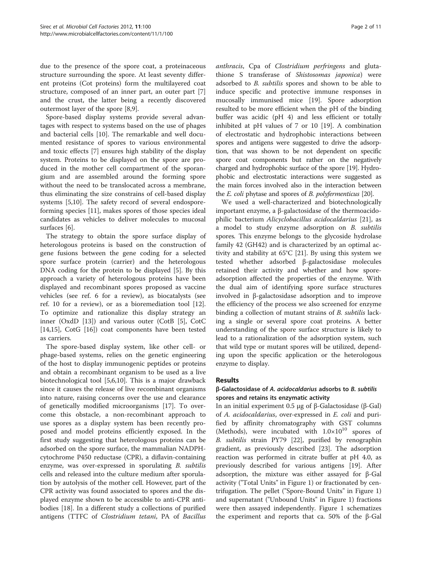due to the presence of the spore coat, a proteinaceous structure surrounding the spore. At least seventy different proteins (Cot proteins) form the multilayered coat structure, composed of an inner part, an outer part [\[7](#page-9-0)] and the crust, the latter being a recently discovered outermost layer of the spore [[8,9\]](#page-9-0).

Spore-based display systems provide several advantages with respect to systems based on the use of phages and bacterial cells [[10\]](#page-9-0). The remarkable and well documented resistance of spores to various environmental and toxic effects [[7\]](#page-9-0) ensures high stability of the display system. Proteins to be displayed on the spore are produced in the mother cell compartment of the sporangium and are assembled around the forming spore without the need to be translocated across a membrane, thus eliminating the size constrains of cell-based display systems [[5](#page-9-0),[10](#page-9-0)]. The safety record of several endosporeforming species [\[11](#page-9-0)], makes spores of those species ideal candidates as vehicles to deliver molecules to mucosal surfaces [\[6](#page-9-0)].

The strategy to obtain the spore surface display of heterologous proteins is based on the construction of gene fusions between the gene coding for a selected spore surface protein (carrier) and the heterologous DNA coding for the protein to be displayed [[5\]](#page-9-0). By this approach a variety of heterologous proteins have been displayed and recombinant spores proposed as vaccine vehicles (see ref. 6 for a review), as biocatalysts (see ref. 10 for a review), or as a bioremediation tool [\[12](#page-9-0)]. To optimize and rationalize this display strategy an inner (OxdD [\[13](#page-9-0)]) and various outer (CotB [[5\]](#page-9-0), CotC [[14,15\]](#page-9-0), CotG [[16](#page-9-0)]) coat components have been tested as carriers.

The spore-based display system, like other cell- or phage-based systems, relies on the genetic engineering of the host to display immunogenic peptides or proteins and obtain a recombinant organism to be used as a live biotechnological tool [\[5](#page-9-0),[6](#page-9-0),[10](#page-9-0)]. This is a major drawback since it causes the release of live recombinant organisms into nature, raising concerns over the use and clearance of genetically modified microorganisms [[17](#page-9-0)]. To overcome this obstacle, a non-recombinant approach to use spores as a display system has been recently proposed and model proteins efficiently exposed. In the first study suggesting that heterologous proteins can be adsorbed on the spore surface, the mammalian NADPHcytochrome P450 reductase (CPR), a diflavin-containing enzyme, was over-expressed in sporulating *B. subtilis* cells and released into the culture medium after sporulation by autolysis of the mother cell. However, part of the CPR activity was found associated to spores and the displayed enzyme shown to be accessible to anti-CPR antibodies [[18](#page-10-0)]. In a different study a collections of purified antigens (TTFC of Clostridium tetani, PA of Bacillus anthracis, Cpa of Clostridium perfringens and glutathione S transferase of Shistosomas japonica) were adsorbed to B. subtilis spores and shown to be able to induce specific and protective immune responses in mucosally immunised mice [\[19](#page-10-0)]. Spore adsorption resulted to be more efficient when the pH of the binding buffer was acidic (pH 4) and less efficient or totally inhibited at pH values of 7 or 10 [\[19](#page-10-0)]. A combination of electrostatic and hydrophobic interactions between spores and antigens were suggested to drive the adsorption, that was shown to be not dependent on specific spore coat components but rather on the negatively charged and hydrophobic surface of the spore [\[19\]](#page-10-0). Hydrophobic and electrostatic interactions were suggested as the main forces involved also in the interaction between the E. coli phytase and spores of B. polyfermenticus [\[20\]](#page-10-0).

We used a well-characterized and biotechnologically important enzyme, a β-galactosidase of the thermoacidophilic bacterium Alicyclobacillus acidocaldarius [\[21\]](#page-10-0), as a model to study enzyme adsorption on B. subtilis spores. This enzyme belongs to the glycoside hydrolase family 42 (GH42) and is characterized by an optimal activity and stability at 65°C [[21\]](#page-10-0). By using this system we tested whether adsorbed β-galactosidase molecules retained their activity and whether and how sporeadsorption affected the properties of the enzyme. With the dual aim of identifying spore surface structures involved in β-galactosidase adsorption and to improve the efficiency of the process we also screened for enzyme binding a collection of mutant strains of B. *subtilis* lacking a single or several spore coat proteins. A better understanding of the spore surface structure is likely to lead to a rationalization of the adsorption system, such that wild type or mutant spores will be utilized, depending upon the specific application or the heterologous enzyme to display.

## Results

## β-Galactosidase of A. acidocaldarius adsorbs to B. subtilis spores and retains its enzymatic activity

In an initial experiment 0.5 μg of β-Galactosidase (β-Gal) of A. acidocaldarius, over-expressed in E. coli and purified by affinity chromatography with GST columns (Methods), were incubated with  $1.0 \times 10^{10}$  spores of B. *subtilis* strain PY79 [\[22\]](#page-10-0), purified by renographin gradient, as previously described [\[23](#page-10-0)]. The adsorption reaction was performed in citrate buffer at pH 4.0, as previously described for various antigens [[19\]](#page-10-0). After adsorption, the mixture was either assayed for β-Gal activity ("Total Units" in Figure [1\)](#page-2-0) or fractionated by centrifugation. The pellet ("Spore-Bound Units" in Figure [1](#page-2-0)) and supernatant ("Unbound Units" in Figure [1\)](#page-2-0) fractions were then assayed independently. Figure [1](#page-2-0) schematizes the experiment and reports that ca. 50% of the β-Gal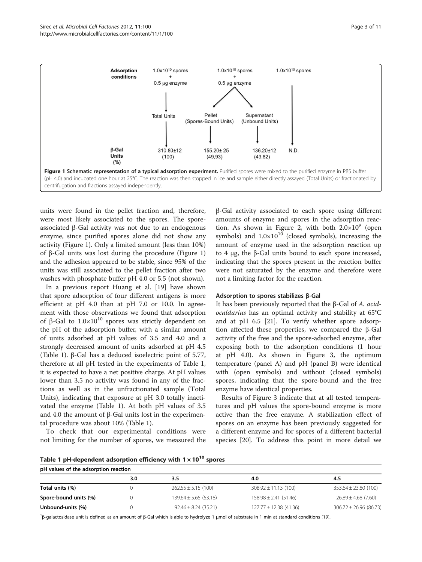<span id="page-2-0"></span>

units were found in the pellet fraction and, therefore, were most likely associated to the spores. The sporeassociated β-Gal activity was not due to an endogenous enzyme, since purified spores alone did not show any activity (Figure 1). Only a limited amount (less than 10%) of β-Gal units was lost during the procedure (Figure 1) and the adhesion appeared to be stable, since 95% of the units was still associated to the pellet fraction after two washes with phosphate buffer pH 4.0 or 5.5 (not shown).

In a previous report Huang et al. [\[19\]](#page-10-0) have shown that spore adsorption of four different antigens is more efficient at pH 4.0 than at pH 7.0 or 10.0. In agreement with those observations we found that adsorption of β-Gal to  $1.0\times10^{10}$  spores was strictly dependent on the pH of the adsorption buffer, with a similar amount of units adsorbed at pH values of 3.5 and 4.0 and a strongly decreased amount of units adsorbed at pH 4.5 (Table 1). β-Gal has a deduced isoelectric point of 5.77, therefore at all pH tested in the experiments of Table 1, it is expected to have a net positive charge. At pH values lower than 3.5 no activity was found in any of the fractions as well as in the unfractionated sample (Total Units), indicating that exposure at pH 3.0 totally inactivated the enzyme (Table 1). At both pH values of 3.5 and 4.0 the amount of β-Gal units lost in the experimental procedure was about 10% (Table 1).

To check that our experimental conditions were not limiting for the number of spores, we measured the β-Gal activity associated to each spore using different amounts of enzyme and spores in the adsorption reac-tion. As shown in Figure [2,](#page-3-0) with both  $2.0\times10^{9}$  (open symbols) and  $1.0\times10^{10}$  (closed symbols), increasing the amount of enzyme used in the adsorption reaction up to 4 μg, the β-Gal units bound to each spore increased, indicating that the spores present in the reaction buffer were not saturated by the enzyme and therefore were not a limiting factor for the reaction.

#### Adsorption to spores stabilizes β-Gal

It has been previously reported that the β-Gal of A. acidocaldarius has an optimal activity and stability at 65°C and at pH 6.5 [\[21](#page-10-0)]. To verify whether spore adsorption affected these properties, we compared the β-Gal activity of the free and the spore-adsorbed enzyme, after exposing both to the adsorption conditions (1 hour at pH 4.0). As shown in Figure [3,](#page-3-0) the optimum temperature (panel A) and pH (panel B) were identical with (open symbols) and without (closed symbols) spores, indicating that the spore-bound and the free enzyme have identical properties.

Results of Figure [3](#page-3-0) indicate that at all tested temperatures and pH values the spore-bound enzyme is more active than the free enzyme. A stabilization effect of spores on an enzyme has been previously suggested for a different enzyme and for spores of a different bacterial species [[20](#page-10-0)]. To address this point in more detail we

|  | Table 1 pH-dependent adsorption efficiency with 1 $\times$ 10 <sup>10</sup> spores |  |  |  |  |
|--|------------------------------------------------------------------------------------|--|--|--|--|
|--|------------------------------------------------------------------------------------|--|--|--|--|

| pH values of the adsorption reaction |     |                           |                            |                            |
|--------------------------------------|-----|---------------------------|----------------------------|----------------------------|
|                                      | 3.0 | 3.5                       | 4.0                        | 4.5                        |
| Total units (%)                      |     | $262.55 \pm 5.15(100)$    | $308.92 \pm 11.13$ (100)   | $353.64 \pm 23.80$ (100)   |
| Spore-bound units (%)                |     | $139.64 \pm 5.65$ (53.18) | $158.98 \pm 2.41(51.46)$   | $26.89 \pm 4.68$ (7.60)    |
| Unbound-units (%)                    |     | $92.46 \pm 8.24$ (35.21)  | $127.77 \pm 12.38$ (41.36) | $306.72 \pm 26.96$ (86.73) |

1 β-galactosidase unit is defined as an amount of β-Gal which is able to hydrolyze 1 μmol of substrate in 1 min at standard conditions [\[19](#page-10-0)].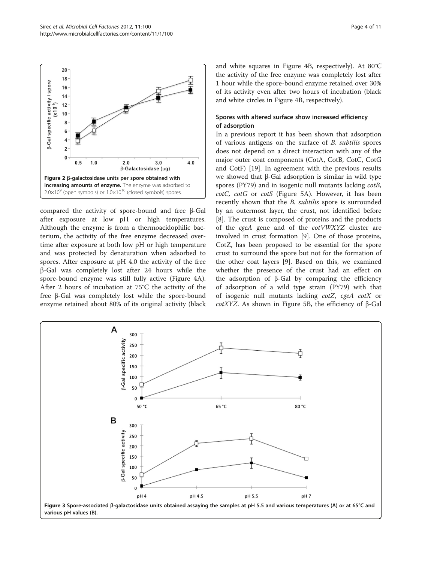<span id="page-3-0"></span>

compared the activity of spore-bound and free β-Gal after exposure at low pH or high temperatures. Although the enzyme is from a thermoacidophilic bacterium, the activity of the free enzyme decreased overtime after exposure at both low pH or high temperature and was protected by denaturation when adsorbed to spores. After exposure at pH 4.0 the activity of the free β-Gal was completely lost after 24 hours while the spore-bound enzyme was still fully active (Figure [4A](#page-4-0)). After 2 hours of incubation at 75°C the activity of the free β-Gal was completely lost while the spore-bound enzyme retained about 80% of its original activity (black and white squares in Figure [4B](#page-4-0), respectively). At 80°C the activity of the free enzyme was completely lost after 1 hour while the spore-bound enzyme retained over 30% of its activity even after two hours of incubation (black and white circles in Figure [4B](#page-4-0), respectively).

## Spores with altered surface show increased efficiency of adsorption

In a previous report it has been shown that adsorption of various antigens on the surface of B. subtilis spores does not depend on a direct interaction with any of the major outer coat components (CotA, CotB, CotC, CotG and CotF) [[19](#page-10-0)]. In agreement with the previous results we showed that β-Gal adsorption is similar in wild type spores (PY79) and in isogenic null mutants lacking *cotB*, cotC, cotG or cotS (Figure [5A](#page-5-0)). However, it has been recently shown that the B. subtilis spore is surrounded by an outermost layer, the crust, not identified before [[8\]](#page-9-0). The crust is composed of proteins and the products of the cgeA gene and of the cotVWXYZ cluster are involved in crust formation [\[9](#page-9-0)]. One of those proteins, CotZ, has been proposed to be essential for the spore crust to surround the spore but not for the formation of the other coat layers [\[9\]](#page-9-0). Based on this, we examined whether the presence of the crust had an effect on the adsorption of β-Gal by comparing the efficiency of adsorption of a wild type strain (PY79) with that of isogenic null mutants lacking cotZ, cgeA cotX or cotXYZ. As shown in Figure [5B,](#page-5-0) the efficiency of β-Gal

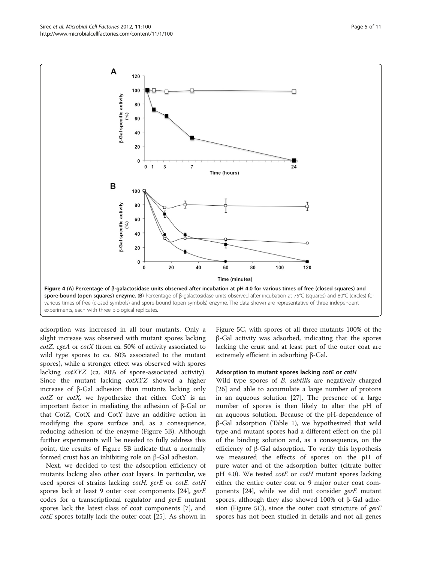<span id="page-4-0"></span>

adsorption was increased in all four mutants. Only a slight increase was observed with mutant spores lacking cotZ, cgeA or cotX (from ca. 50% of activity associated to wild type spores to ca. 60% associated to the mutant spores), while a stronger effect was observed with spores lacking cotXYZ (ca. 80% of spore-associated activity). Since the mutant lacking cotXYZ showed a higher increase of β-Gal adhesion than mutants lacking only cotZ or cotX, we hypothesize that either CotY is an important factor in mediating the adhesion of β-Gal or that CotZ, CotX and CotY have an additive action in modifying the spore surface and, as a consequence, reducing adhesion of the enzyme (Figure [5B\)](#page-5-0). Although further experiments will be needed to fully address this point, the results of Figure [5B](#page-5-0) indicate that a normally formed crust has an inhibiting role on β-Gal adhesion.

Next, we decided to test the adsorption efficiency of mutants lacking also other coat layers. In particular, we used spores of strains lacking *cotH*, gerE or *cotE*. *cotH* spores lack at least 9 outer coat components [\[24\]](#page-10-0), gerE codes for a transcriptional regulator and gerE mutant spores lack the latest class of coat components [\[7](#page-9-0)], and cotE spores totally lack the outer coat [[25\]](#page-10-0). As shown in Figure [5C,](#page-5-0) with spores of all three mutants 100% of the β-Gal activity was adsorbed, indicating that the spores lacking the crust and at least part of the outer coat are extremely efficient in adsorbing β-Gal.

#### Adsorption to mutant spores lacking cotE or cotH

Wild type spores of *B. subtilis* are negatively charged [[26\]](#page-10-0) and able to accumulate a large number of protons in an aqueous solution [\[27](#page-10-0)]. The presence of a large number of spores is then likely to alter the pH of an aqueous solution. Because of the pH-dependence of β-Gal adsorption (Table [1](#page-2-0)), we hypothesized that wild type and mutant spores had a different effect on the pH of the binding solution and, as a consequence, on the efficiency of β-Gal adsorption. To verify this hypothesis we measured the effects of spores on the pH of pure water and of the adsorption buffer (citrate buffer pH 4.0). We tested cotE or cotH mutant spores lacking either the entire outer coat or 9 major outer coat com-ponents [[24\]](#page-10-0), while we did not consider gerE mutant spores, although they also showed 100% of β-Gal adhe-sion (Figure [5C](#page-5-0)), since the outer coat structure of  $gerE$ spores has not been studied in details and not all genes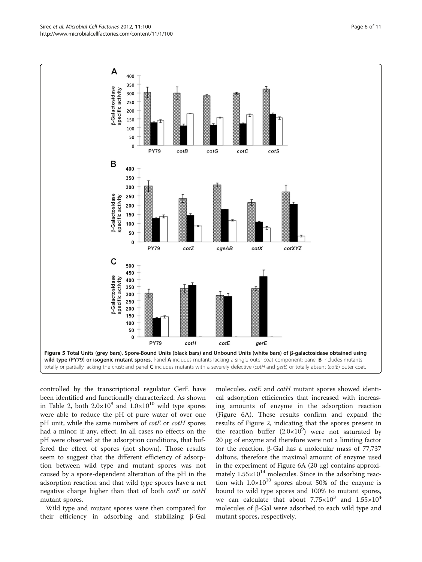controlled by the transcriptional regulator GerE have been identified and functionally characterized. As shown in Table [2,](#page-6-0) both  $2.0 \times 10^{9}$  and  $1.0 \times 10^{10}$  wild type spores were able to reduce the pH of pure water of over one pH unit, while the same numbers of *cotE* or *cotH* spores had a minor, if any, effect. In all cases no effects on the pH were observed at the adsorption conditions, that buffered the effect of spores (not shown). Those results seem to suggest that the different efficiency of adsorption between wild type and mutant spores was not caused by a spore-dependent alteration of the pH in the adsorption reaction and that wild type spores have a net negative charge higher than that of both *cotE* or *cotH* mutant spores.

Wild type and mutant spores were then compared for their efficiency in adsorbing and stabilizing β-Gal

molecules. cotE and cotH mutant spores showed identical adsorption efficiencies that increased with increasing amounts of enzyme in the adsorption reaction (Figure [6A](#page-6-0)). These results confirm and expand the results of Figure [2](#page-3-0), indicating that the spores present in the reaction buffer  $(2.0 \times 10^9)$  were not saturated by 20 μg of enzyme and therefore were not a limiting factor for the reaction. β-Gal has a molecular mass of 77,737 daltons, therefore the maximal amount of enzyme used in the experiment of Figure [6A](#page-6-0) (20 μg) contains approximately  $1.55 \times 10^{14}$  molecules. Since in the adsorbing reaction with  $1.0\times10^{10}$  spores about 50% of the enzyme is bound to wild type spores and 100% to mutant spores, we can calculate that about  $7.75 \times 10^3$  and  $1.55 \times 10^4$ molecules of β-Gal were adsorbed to each wild type and mutant spores, respectively.

<span id="page-5-0"></span>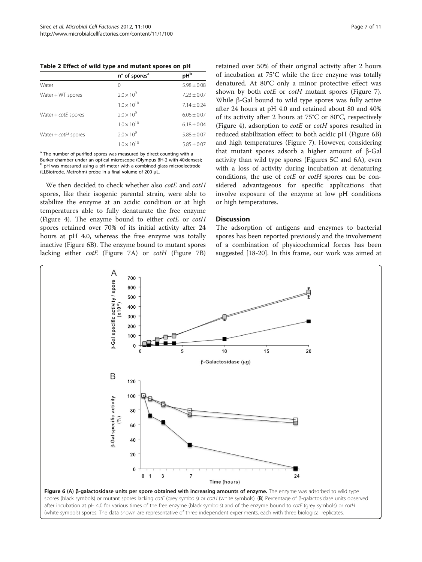<span id="page-6-0"></span>Table 2 Effect of wild type and mutant spores on pH

|                         | n° of spores <sup>a</sup> | pHb             |
|-------------------------|---------------------------|-----------------|
| Water                   | $^{(1)}$                  | $5.98 \pm 0.08$ |
| Water $+ WT$ spores     | $2.0 \times 10^9$         | $7.23 \pm 0.07$ |
|                         | $1.0 \times 10^{10}$      | $7.14 \pm 0.24$ |
| Water $+ \cot F$ spores | $2.0 \times 10^9$         | $6.06 \pm 0.07$ |
|                         | $1.0 \times 10^{10}$      | $6.18 \pm 0.04$ |
| Water $+ \cot H$ spores | $2.0 \times 10^9$         | $5.88 \pm 0.07$ |
|                         | $1.0 \times 10^{10}$      | $5.85 \pm 0.07$ |

<sup>a</sup> The number of purified spores was measured by direct counting with a

Burker chamber under an optical microscope (Olympus BH-2 with 40xlenses); pH was measured using a pH-meter with a combined glass microelectrode (LLBiotrode, Metrohm) probe in a final volume of 200 μL.

We then decided to check whether also cotE and cotH spores, like their isogenic parental strain, were able to stabilize the enzyme at an acidic condition or at high temperatures able to fully denaturate the free enzyme (Figure [4](#page-4-0)). The enzyme bound to either cotE or cotH spores retained over 70% of its initial activity after 24 hours at pH 4.0, whereas the free enzyme was totally inactive (Figure 6B). The enzyme bound to mutant spores lacking either cotE (Figure [7A](#page-7-0)) or cotH (Figure [7B](#page-7-0))

retained over 50% of their original activity after 2 hours of incubation at 75°C while the free enzyme was totally denatured. At 80°C only a minor protective effect was shown by both *cotE* or *cotH* mutant spores (Figure [7](#page-7-0)). While β-Gal bound to wild type spores was fully active after 24 hours at pH 4.0 and retained about 80 and 40% of its activity after 2 hours at 75°C or 80°C, respectively (Figure [4\)](#page-4-0), adsorption to  $cotE$  or  $cotH$  spores resulted in reduced stabilization effect to both acidic pH (Figure 6B) and high temperatures (Figure [7\)](#page-7-0). However, considering that mutant spores adsorb a higher amount of β-Gal activity than wild type spores (Figures [5C](#page-5-0) and 6A), even with a loss of activity during incubation at denaturing conditions, the use of *cotE* or *cotH* spores can be considered advantageous for specific applications that involve exposure of the enzyme at low pH conditions or high temperatures.

#### **Discussion**

The adsorption of antigens and enzymes to bacterial spores has been reported previously and the involvement of a combination of physicochemical forces has been suggested [[18-20](#page-10-0)]. In this frame, our work was aimed at

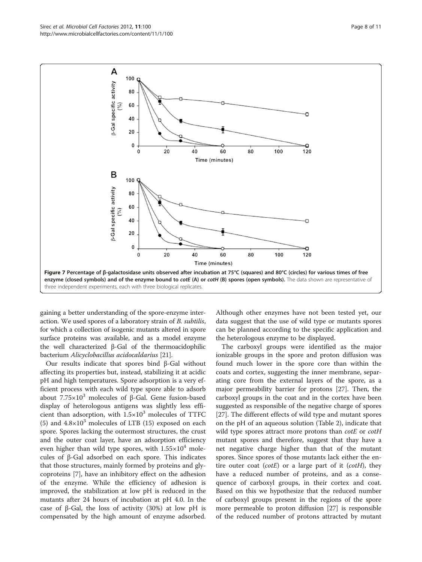<span id="page-7-0"></span>

gaining a better understanding of the spore-enzyme interaction. We used spores of a laboratory strain of B. subtilis, for which a collection of isogenic mutants altered in spore surface proteins was available, and as a model enzyme the well characterized β-Gal of the thermoacidophilic bacterium Alicyclobacillus acidocaldarius [\[21\]](#page-10-0).

Our results indicate that spores bind β-Gal without affecting its properties but, instead, stabilizing it at acidic pH and high temperatures. Spore adsorption is a very efficient process with each wild type spore able to adsorb about  $7.75 \times 10^3$  molecules of β-Gal. Gene fusion-based display of heterologous antigens was slightly less efficient than adsorption, with  $1.5 \times 10^3$  molecules of TTFC (5) and  $4.8\times10^3$  molecules of LTB (15) exposed on each spore. Spores lacking the outermost structures, the crust and the outer coat layer, have an adsorption efficiency even higher than wild type spores, with  $1.55 \times 10^4$  molecules of β-Gal adsorbed on each spore. This indicates that those structures, mainly formed by proteins and glycoproteins [\[7](#page-9-0)], have an inhibitory effect on the adhesion of the enzyme. While the efficiency of adhesion is improved, the stabilization at low pH is reduced in the mutants after 24 hours of incubation at pH 4.0. In the case of β-Gal, the loss of activity (30%) at low pH is compensated by the high amount of enzyme adsorbed. Although other enzymes have not been tested yet, our data suggest that the use of wild type or mutants spores can be planned according to the specific application and the heterologous enzyme to be displayed.

The carboxyl groups were identified as the major ionizable groups in the spore and proton diffusion was found much lower in the spore core than within the coats and cortex, suggesting the inner membrane, separating core from the external layers of the spore, as a major permeability barrier for protons [\[27\]](#page-10-0). Then, the carboxyl groups in the coat and in the cortex have been suggested as responsible of the negative charge of spores [[27\]](#page-10-0). The different effects of wild type and mutant spores on the pH of an aqueous solution (Table [2](#page-6-0)), indicate that wild type spores attract more protons than *cotE* or *cotH* mutant spores and therefore, suggest that thay have a net negative charge higher than that of the mutant spores. Since spores of those mutants lack either the entire outer coat  $(cotE)$  or a large part of it  $(cotH)$ , they have a reduced number of proteins, and as a consequence of carboxyl groups, in their cortex and coat. Based on this we hypothesize that the reduced number of carboxyl groups present in the regions of the spore more permeable to proton diffusion [[27](#page-10-0)] is responsible of the reduced number of protons attracted by mutant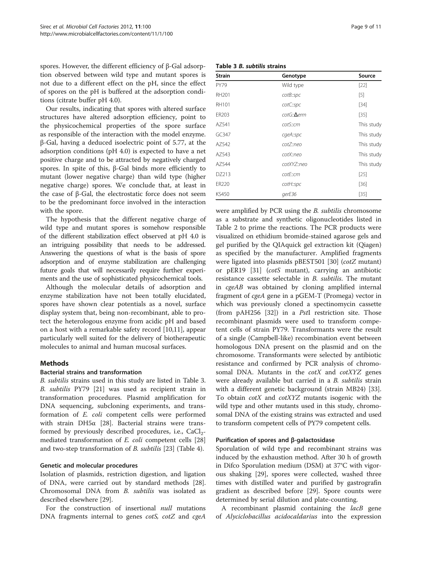spores. However, the different efficiency of β-Gal adsorption observed between wild type and mutant spores is not due to a different effect on the pH, since the effect of spores on the pH is buffered at the adsorption conditions (citrate buffer pH 4.0).

Our results, indicating that spores with altered surface structures have altered adsorption efficiency, point to the physicochemical properties of the spore surface as responsible of the interaction with the model enzyme. β-Gal, having a deduced isoelectric point of 5.77, at the adsorption conditions (pH 4.0) is expected to have a net positive charge and to be attracted by negatively charged spores. In spite of this, β-Gal binds more efficiently to mutant (lower negative charge) than wild type (higher negative charge) spores. We conclude that, at least in the case of β-Gal, the electrostatic force does not seem to be the predominant force involved in the interaction with the spore.

The hypothesis that the different negative charge of wild type and mutant spores is somehow responsible of the different stabilization effect observed at pH 4.0 is an intriguing possibility that needs to be addressed. Answering the questions of what is the basis of spore adsorption and of enzyme stabilization are challenging future goals that will necessarily require further experiments and the use of sophisticated physicochemical tools.

Although the molecular details of adsorption and enzyme stabilization have not been totally elucidated, spores have shown clear potentials as a novel, surface display system that, being non-recombinant, able to protect the heterologous enzyme from acidic pH and based on a host with a remarkable safety record [\[10,11\]](#page-9-0), appear particularly well suited for the delivery of biotherapeutic molecules to animal and human mucosal surfaces.

## Methods

## Bacterial strains and transformation

B. subtilis strains used in this study are listed in Table 3. B. subtilis PY79 [[21\]](#page-10-0) was used as recipient strain in transformation procedures. Plasmid amplification for DNA sequencing, subcloning experiments, and transformation of E. coli competent cells were performed with strain DH5α [[28](#page-10-0)]. Bacterial strains were transformed by previously described procedures, i.e.,  $CaCl<sub>2</sub>$ mediated transformation of E. coli competent cells [[28](#page-10-0)] and two-step transformation of B. subtilis [[23](#page-10-0)] (Table [4\)](#page-9-0).

#### Genetic and molecular procedures

Isolation of plasmids, restriction digestion, and ligation of DNA, were carried out by standard methods [\[28](#page-10-0)]. Chromosomal DNA from B. subtilis was isolated as described elsewhere [\[29](#page-10-0)].

For the construction of insertional *null* mutations DNA fragments internal to genes cotS, cotZ and cgeA

Table 3 B. subtilis strains

| <b>Strain</b>     | Genotype    | Source     |
|-------------------|-------------|------------|
| <b>PY79</b>       | Wild type   | $[22]$     |
| RH <sub>201</sub> | cotB::spc   | [5]        |
| RH101             | cotC::spc   | $[34]$     |
| ER203             | cotG::∆erm  | $[35]$     |
| AZ541             | cotS::cm    | This study |
| GC347             | cgeA::spc   | This study |
| AZ542             | cot7::neo   | This study |
| AZ543             | cotX::neo   | This study |
| A7544             | cotXY7::neo | This study |
| DZ213             | cotF::cm    | $[25]$     |
| ER220             | cotH::spc   | [36]       |
| <b>KS450</b>      | gerE36      | [35]       |

were amplified by PCR using the B. subtilis chromosome as a substrate and synthetic oligonucleotides listed in Table [2](#page-6-0) to prime the reactions. The PCR products were visualized on ethidium bromide-stained agarose gels and gel purified by the QIAquick gel extraction kit (Qiagen) as specified by the manufacturer. Amplified fragments were ligated into plasmids pBEST501 [\[30](#page-10-0)] (cotZ mutant) or pER19 [\[31](#page-10-0)] (cotS mutant), carrying an antibiotic resistance cassette selectable in B. subtilis. The mutant in cgeAB was obtained by cloning amplified internal fragment of cgeA gene in a pGEM-T (Promega) vector in which was previously cloned a spectinomycin cassette (from pAH256 [[32\]](#page-10-0)) in a PstI restriction site. Those recombinant plasmids were used to transform competent cells of strain PY79. Transformants were the result of a single (Campbell-like) recombination event between homologous DNA present on the plasmid and on the chromosome. Transformants were selected by antibiotic resistance and confirmed by PCR analysis of chromosomal DNA. Mutants in the *cotX* and *cotXYZ* genes were already available but carried in a B. subtilis strain with a different genetic background (strain MB24) [\[33](#page-10-0)]. To obtain cotX and cotXYZ mutants isogenic with the wild type and other mutants used in this study, chromosomal DNA of the existing strains was extracted and used to transform competent cells of PY79 competent cells.

## Purification of spores and β-galactosidase

Sporulation of wild type and recombinant strains was induced by the exhaustion method. After 30 h of growth in Difco Sporulation medium (DSM) at 37°C with vigorous shaking [\[29](#page-10-0)], spores were collected, washed three times with distilled water and purified by gastrografin gradient as described before [\[29](#page-10-0)]. Spore counts were determined by serial dilution and plate-counting.

A recombinant plasmid containing the *lacB* gene of Alyciclobacillus acidocaldarius into the expression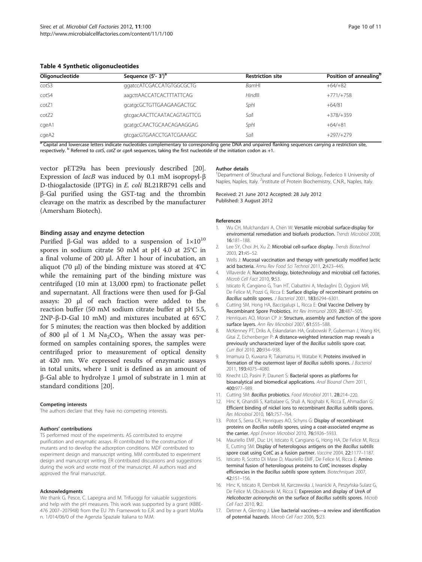<span id="page-9-0"></span>Table 4 Synthetic oligonucleotides

| Oligonucleotide | Sequence $(5' - 3')^a$     | <b>Restriction site</b> | Position of annealing <sup>5</sup> |
|-----------------|----------------------------|-------------------------|------------------------------------|
| cotS3           | ggatccATCGACCATGTGGCGCTG   | BamHl                   | $+64/+82$                          |
| cotS4           | aagcttAACCATCACTTTATTCAG   | Hindlll                 | $+771/+758$                        |
| cotZ1           | gcatgcGCTGTTGAAGAAGACTGC   | Sphl                    | $+64/81$                           |
| cotZ2           | qtcqacAACTTCAATACAGTAGTTCG | Sall                    | $+378/+359$                        |
| cgeA1           | gcatgcCAACTGCAACAGAAGGAG   | Sphl                    | $+64/+81$                          |
| cgeA2           | gtcgacGTGAACCTGATCGAAAGC   | Sall                    | $+297/+279$                        |

<sup>a</sup> Capital and lowercase letters indicate nucleotides complementary to corresponding gene DNA and unpaired flanking sequences carrying a restriction site, respectively.  $^{\text{b}}$  Referred to cotS, cotZ or cgeA sequences, taking the first nucleotide of the initiation codon as +1.

vector pET29a has been previously described [\[20](#page-10-0)]. Expression of lacB was induced by 0.1 mM isopropyl-β D-thiogalactoside (IPTG) in E. coli BL21RB791 cells and β-Gal purified using the GST-tag and the thrombin cleavage on the matrix as described by the manufacturer (Amersham Biotech).

#### Binding assay and enzyme detection

Purified β-Gal was added to a suspension of  $1 \times 10^{10}$ spores in sodium citrate 50 mM at pH 4.0 at 25°C in a final volume of 200 μl. After 1 hour of incubation, an aliquot (70 μl) of the binding mixture was stored at 4°C while the remaining part of the binding mixture was centrifuged (10 min at 13,000 rpm) to fractionate pellet and supernatant. All fractions were then used for β-Gal assays: 20 μl of each fraction were added to the reaction buffer (50 mM sodium citrate buffer at pH 5.5, 2NP-β-D-Gal 10 mM) and mixtures incubated at 65°C for 5 minutes; the reaction was then blocked by addition of 800 μl of 1 M  $\text{Na}_2\text{CO}_3$ . When the assay was performed on samples containing spores, the samples were centrifuged prior to measurement of optical density at 420 nm. We expressed results of enzymatic assays in total units, where 1 unit is defined as an amount of β-Gal able to hydrolyze 1 μmol of substrate in 1 min at standard conditions [[20\]](#page-10-0).

#### Competing interests

The authors declare that they have no competing interests.

#### Authors' contributions

TS performed most of the experiments. AS contributed to enzyme purification and enzymatic assays. RI contributed to the construction of mutants and to develop the adsorption conditions. MDF contributed to experiment design and manuscript writing. MM contributed to experiment design and manuscript writing. ER contributed discussions and suggestions during the work and wrote most of the manuscript. All authors read and approved the final manuscript.

#### Acknowledgments

We thank G. Pesce, C. Lapegna and M. Trifuoggi for valuable suggestions and help with the pH measures. This work was supported by a grant (KBBE-476 2007–207948) from the EU 7th Framework to E.R. and by a grant MoMa n. 1/014/06/0 of the Agenzia Spaziale Italiana to M.M.

#### Author details

<sup>1</sup>Department of Structural and Functional Biology, Federico II University of Naples, Naples, Italy. <sup>2</sup>Institute of Protein Biochemistry, C.N.R., Naples, Italy.

Received: 21 June 2012 Accepted: 28 July 2012 Published: 3 August 2012

#### References

- 1. Wu CH, Mulchandani A, Chen W: Versatile microbial surface-display for enviromental remediation and biofuels production. Trends Microbiol 2008, 16:181–188.
- 2. Lee SY, Choi JH, Xu Z: Microbial cell-surface display. Trends Biotechnol 2003, 21:45–52.
- 3. Wells J: Mucosal vaccination and therapy with genetically modified lactic acid bacteria. Annu Rev Food Sci Technol 2011, 2:423–445.
- 4. Villaverde A: Nanotechnology, biotechnology and microbial cell factories. Microb Cell Fact 2010, 9:53.
- 5. Isticato R, Cangiano G, Tran HT, Ciabattini A, Medaglini D, Oggioni MR, De Felice M, Pozzi G, Ricca E: Surface display of recombinant proteins on Bacillus subtilis spores. J Bacteriol 2001, 183:6294–6301.
- 6. Cutting SM, Hong HA, Baccigalupi L, Ricca E: Oral Vaccine Delivery by Recombinant Spore Probiotics. Int Rev Immunol 2009, 28:487–505.
- 7. Henriques AO, Moran CP Jr: Structure, assembly and function of the spore surface layers. Ann Rev Microbiol 2007, 61:555-588.
- 8. McKenney PT, Driks A, Eskandarian HA, Grabowski P, Guberman J, Wang KH, Gitai Z, Eichenberger P: A distance-weighted interaction map reveals a previously uncharacterized layer of the Bacillus subtilis spore coat. Curr Biol 2010, 20:934–938.
- 9. Imamura D, Kuwana R, Takamatsu H, Watabe K: Proteins involved in formation of the outermost layer of Bacillus subtilis spores. J Bacteriol 2011, 193:4075–4080.
- 10. Knecht LD, Pasini P, Daunert S: Bacterial spores as platforms for bioanalytical and biomedical applications. Anal Bioanal Chem 2011, 400:977–989.
- 11. Cutting SM: Bacillus probiotics. Food Microbiol 2011, 28:214-220.
- 12. Hinc K, Ghandili S, Karbalaee G, Shali A, Noghabi K, Ricca E, Ahmadian G: Efficient binding of nickel ions to recombinant Bacillus subtilis spores. Res Microbiol 2010, 161:757–764.
- 13. Potot S, Serra CR, Henriques AO, Schyns G: Display of recombinant proteins on Bacillus subtilis spores, using a coat-associated enzyme as the carrier. Appl Environ Microbiol 2010, 76:5926-5933.
- 14. Mauriello EMF, Duc LH, Isticato R, Cangiano G, Hong HA, De Felice M, Ricca E, Cutting SM: Display of heterologous antigens on the Bacillus subtilis spore coat using CotC as a fusion partner. Vaccine 2004, 22:1177–1187.
- 15. Isticato R, Scotto Di Mase D, Mauriello EMF, De Felice M, Ricca E: Amino terminal fusion of heterologous proteins to CotC increases display efficiencies in the Bacillus subtilis spore system. Biotechniques 2007, 42:151–156.
- 16. Hinc K, Isticato R, Dembek M, Karczewska J, Iwanicki A, Peszyńska-Sularz G, De Felice M, Obukowski M, Ricca E: Expression and display of UreA of Helicobacter acinonychis on the surface of Bacillus subtilis spores. Microb Cell Fact 2010, 9:2.
- 17. Detmer A, Glenting J: Live bacterial vaccines-a review and identification of potential hazards. Microb Cell Fact 2006, 5:23.